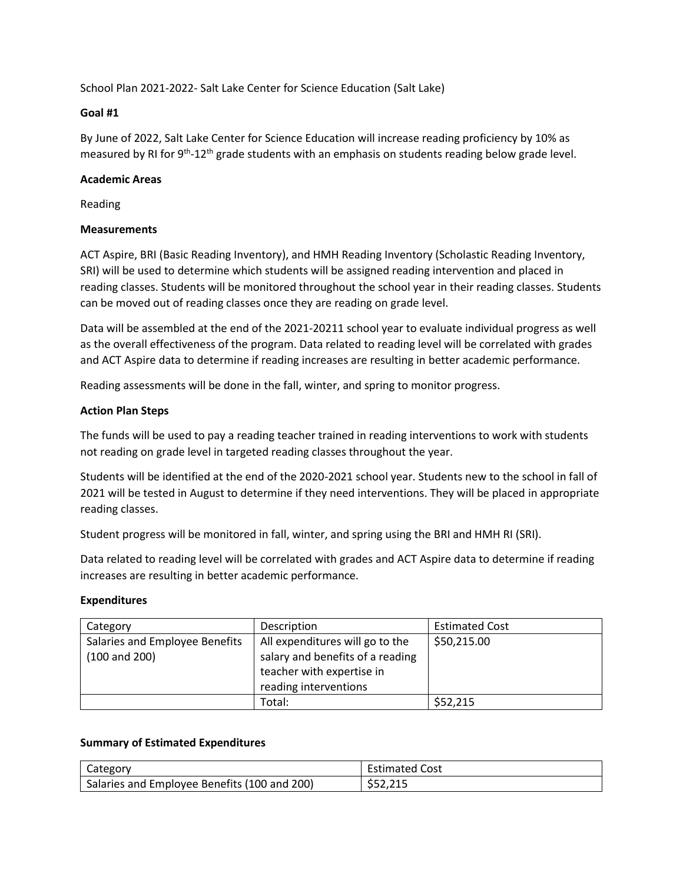School Plan 2021-2022- Salt Lake Center for Science Education (Salt Lake)

## **Goal #1**

By June of 2022, Salt Lake Center for Science Education will increase reading proficiency by 10% as measured by RI for 9<sup>th</sup>-12<sup>th</sup> grade students with an emphasis on students reading below grade level.

## **Academic Areas**

Reading

# **Measurements**

ACT Aspire, BRI (Basic Reading Inventory), and HMH Reading Inventory (Scholastic Reading Inventory, SRI) will be used to determine which students will be assigned reading intervention and placed in reading classes. Students will be monitored throughout the school year in their reading classes. Students can be moved out of reading classes once they are reading on grade level.

Data will be assembled at the end of the 2021-20211 school year to evaluate individual progress as well as the overall effectiveness of the program. Data related to reading level will be correlated with grades and ACT Aspire data to determine if reading increases are resulting in better academic performance.

Reading assessments will be done in the fall, winter, and spring to monitor progress.

# **Action Plan Steps**

The funds will be used to pay a reading teacher trained in reading interventions to work with students not reading on grade level in targeted reading classes throughout the year.

Students will be identified at the end of the 2020-2021 school year. Students new to the school in fall of 2021 will be tested in August to determine if they need interventions. They will be placed in appropriate reading classes.

Student progress will be monitored in fall, winter, and spring using the BRI and HMH RI (SRI).

Data related to reading level will be correlated with grades and ACT Aspire data to determine if reading increases are resulting in better academic performance.

### **Expenditures**

| Category                                            | Description                                                                                                               | <b>Estimated Cost</b> |
|-----------------------------------------------------|---------------------------------------------------------------------------------------------------------------------------|-----------------------|
| Salaries and Employee Benefits<br>$(100$ and $200)$ | All expenditures will go to the<br>salary and benefits of a reading<br>teacher with expertise in<br>reading interventions | \$50,215.00           |
|                                                     | Total:                                                                                                                    | \$52,215              |

### **Summary of Estimated Expenditures**

| Category                                     | <b>Estimated Cost</b>    |
|----------------------------------------------|--------------------------|
| Salaries and Employee Benefits (100 and 200) | <b>DIR</b><br>ب 12,450 ف |